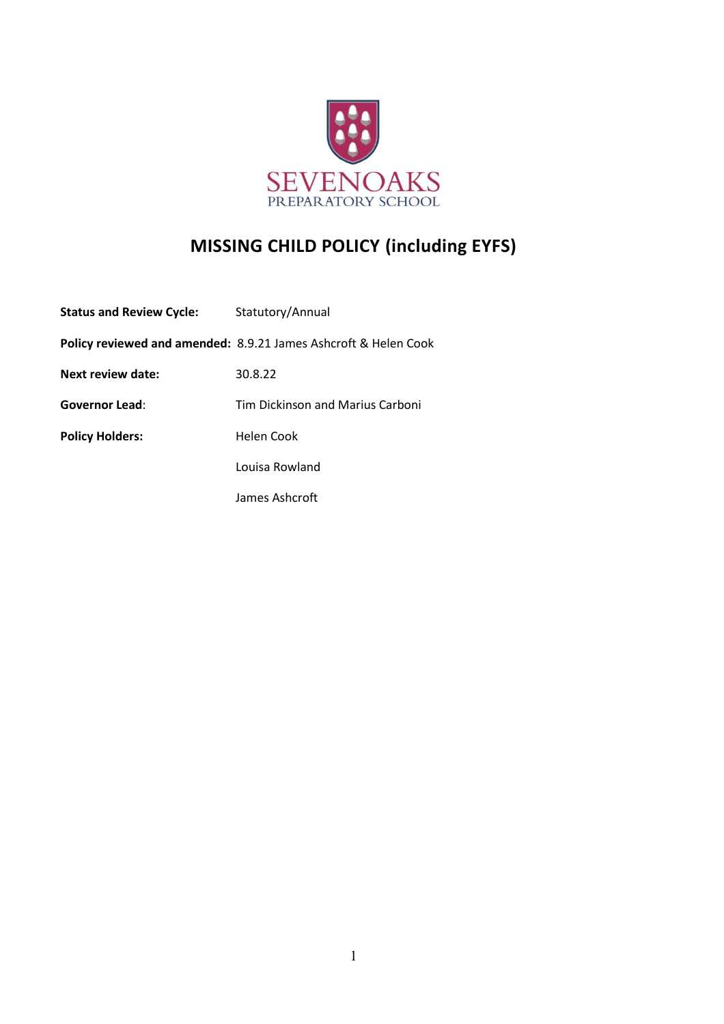

## **MISSING CHILD POLICY (including EYFS)**

| <b>Status and Review Cycle:</b> | Statutory/Annual                                                           |
|---------------------------------|----------------------------------------------------------------------------|
|                                 | <b>Policy reviewed and amended: 8.9.21 James Ashcroft &amp; Helen Cook</b> |
| Next review date:               | 30.8.22                                                                    |
| <b>Governor Lead:</b>           | <b>Tim Dickinson and Marius Carboni</b>                                    |
| <b>Policy Holders:</b>          | Helen Cook                                                                 |
|                                 | Louisa Rowland                                                             |
|                                 | James Ashcroft                                                             |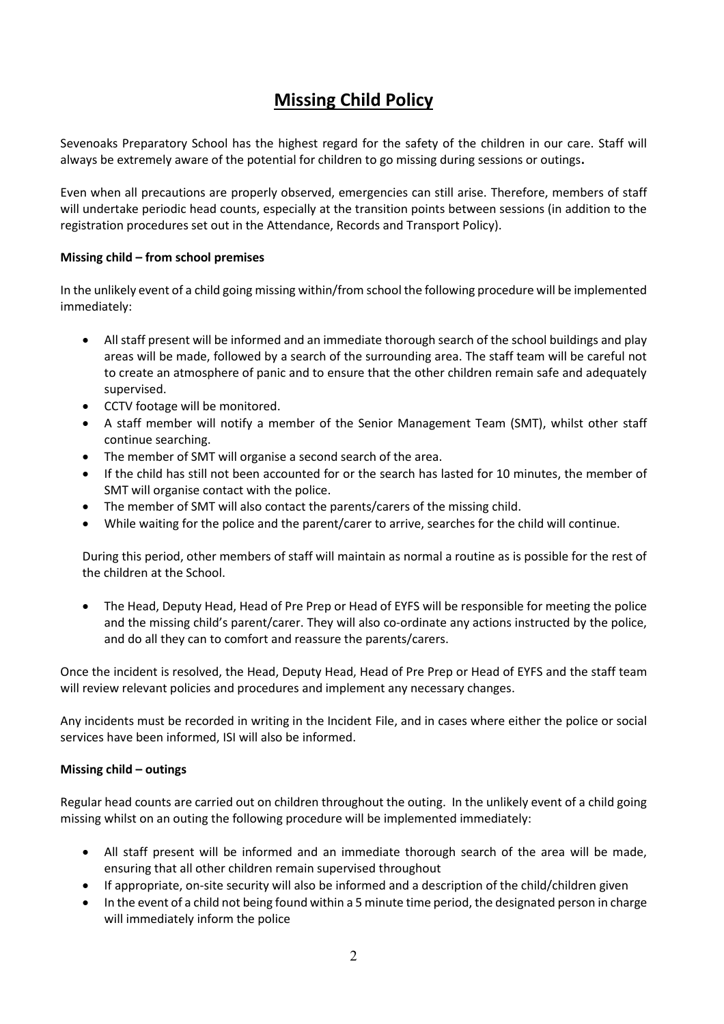## **Missing Child Policy**

Sevenoaks Preparatory School has the highest regard for the safety of the children in our care. Staff will always be extremely aware of the potential for children to go missing during sessions or outings**.**

Even when all precautions are properly observed, emergencies can still arise. Therefore, members of staff will undertake periodic head counts, especially at the transition points between sessions (in addition to the registration procedures set out in the Attendance, Records and Transport Policy).

## **Missing child – from school premises**

In the unlikely event of a child going missing within/from school the following procedure will be implemented immediately:

- All staff present will be informed and an immediate thorough search of the school buildings and play areas will be made, followed by a search of the surrounding area. The staff team will be careful not to create an atmosphere of panic and to ensure that the other children remain safe and adequately supervised.
- CCTV footage will be monitored.
- A staff member will notify a member of the Senior Management Team (SMT), whilst other staff continue searching.
- The member of SMT will organise a second search of the area.
- If the child has still not been accounted for or the search has lasted for 10 minutes, the member of SMT will organise contact with the police.
- The member of SMT will also contact the parents/carers of the missing child.
- While waiting for the police and the parent/carer to arrive, searches for the child will continue.

During this period, other members of staff will maintain as normal a routine as is possible for the rest of the children at the School.

• The Head, Deputy Head, Head of Pre Prep or Head of EYFS will be responsible for meeting the police and the missing child's parent/carer. They will also co-ordinate any actions instructed by the police, and do all they can to comfort and reassure the parents/carers.

Once the incident is resolved, the Head, Deputy Head, Head of Pre Prep or Head of EYFS and the staff team will review relevant policies and procedures and implement any necessary changes.

Any incidents must be recorded in writing in the Incident File, and in cases where either the police or social services have been informed, ISI will also be informed.

## **Missing child – outings**

Regular head counts are carried out on children throughout the outing. In the unlikely event of a child going missing whilst on an outing the following procedure will be implemented immediately:

- All staff present will be informed and an immediate thorough search of the area will be made, ensuring that all other children remain supervised throughout
- If appropriate, on-site security will also be informed and a description of the child/children given
- In the event of a child not being found within a 5 minute time period, the designated person in charge will immediately inform the police